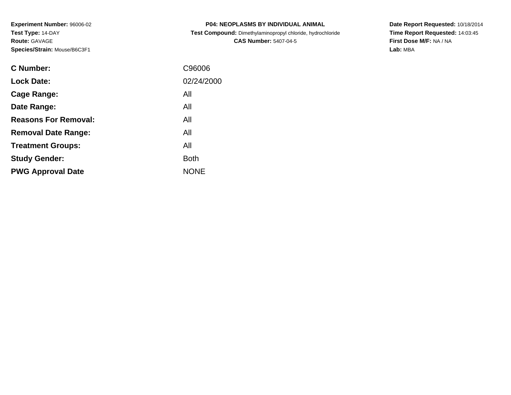**Experiment Number:** 96006-02**Test Type:** 14-DAY**Route:** GAVAGE**Species/Strain:** Mouse/B6C3F1

| <b>P04: NEOPLASMS BY INDIVIDUAL ANIMAL</b>                 |
|------------------------------------------------------------|
| Test Compound: Dimethylaminopropyl chloride, hydrochloride |
| <b>CAS Number: 5407-04-5</b>                               |

**Date Report Requested:** 10/18/2014 **Time Report Requested:** 14:03:45**First Dose M/F:** NA / NA**Lab:** MBA

| C Number:                   | C96006      |
|-----------------------------|-------------|
| <b>Lock Date:</b>           | 02/24/2000  |
| Cage Range:                 | All         |
| Date Range:                 | All         |
| <b>Reasons For Removal:</b> | All         |
| <b>Removal Date Range:</b>  | All         |
| <b>Treatment Groups:</b>    | All         |
| <b>Study Gender:</b>        | <b>Both</b> |
| <b>PWG Approval Date</b>    | <b>NONE</b> |
|                             |             |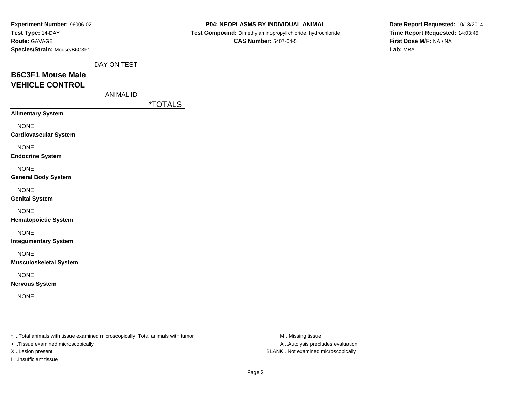| Experiment Number: 96006-02   |                  |                       | P04: NEOPLASMS BY INDIVIDUAL ANIMAL                        | Date Report Requested: 10/18/2014 |
|-------------------------------|------------------|-----------------------|------------------------------------------------------------|-----------------------------------|
| Test Type: 14-DAY             |                  |                       | Test Compound: Dimethylaminopropyl chloride, hydrochloride | Time Report Requested: 14:03:45   |
| Route: GAVAGE                 |                  |                       | <b>CAS Number: 5407-04-5</b>                               | First Dose M/F: NA / NA           |
| Species/Strain: Mouse/B6C3F1  |                  |                       |                                                            | Lab: MBA                          |
|                               | DAY ON TEST      |                       |                                                            |                                   |
| <b>B6C3F1 Mouse Male</b>      |                  |                       |                                                            |                                   |
| <b>VEHICLE CONTROL</b>        |                  |                       |                                                            |                                   |
|                               | <b>ANIMAL ID</b> |                       |                                                            |                                   |
|                               |                  | <i><b>*TOTALS</b></i> |                                                            |                                   |
| <b>Alimentary System</b>      |                  |                       |                                                            |                                   |
| <b>NONE</b>                   |                  |                       |                                                            |                                   |
| <b>Cardiovascular System</b>  |                  |                       |                                                            |                                   |
| <b>NONE</b>                   |                  |                       |                                                            |                                   |
| <b>Endocrine System</b>       |                  |                       |                                                            |                                   |
| <b>NONE</b>                   |                  |                       |                                                            |                                   |
| <b>General Body System</b>    |                  |                       |                                                            |                                   |
| <b>NONE</b>                   |                  |                       |                                                            |                                   |
| <b>Genital System</b>         |                  |                       |                                                            |                                   |
| <b>NONE</b>                   |                  |                       |                                                            |                                   |
| <b>Hematopoietic System</b>   |                  |                       |                                                            |                                   |
| <b>NONE</b>                   |                  |                       |                                                            |                                   |
| <b>Integumentary System</b>   |                  |                       |                                                            |                                   |
| <b>NONE</b>                   |                  |                       |                                                            |                                   |
| <b>Musculoskeletal System</b> |                  |                       |                                                            |                                   |
| <b>NONE</b>                   |                  |                       |                                                            |                                   |
| <b>Nervous System</b>         |                  |                       |                                                            |                                   |
| <b>NONE</b>                   |                  |                       |                                                            |                                   |
|                               |                  |                       |                                                            |                                   |
|                               |                  |                       |                                                            |                                   |
|                               |                  |                       |                                                            |                                   |

+ ..Tissue examined microscopically

I ..Insufficient tissue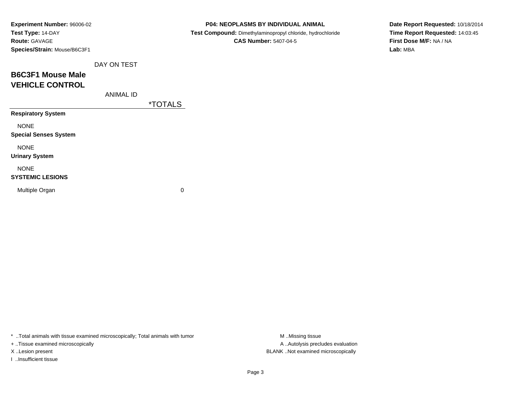| Experiment Number: 96006-02  |                  |                       | P04: NEOPLASMS BY INDIVIDUAL ANIMAL                        | Date Report Requested: 10/18/2014 |
|------------------------------|------------------|-----------------------|------------------------------------------------------------|-----------------------------------|
| Test Type: 14-DAY            |                  |                       | Test Compound: Dimethylaminopropyl chloride, hydrochloride | Time Report Requested: 14:03:45   |
| Route: GAVAGE                |                  |                       | <b>CAS Number: 5407-04-5</b>                               | First Dose M/F: NA / NA           |
| Species/Strain: Mouse/B6C3F1 |                  |                       |                                                            | Lab: MBA                          |
|                              | DAY ON TEST      |                       |                                                            |                                   |
| <b>B6C3F1 Mouse Male</b>     |                  |                       |                                                            |                                   |
| <b>VEHICLE CONTROL</b>       |                  |                       |                                                            |                                   |
|                              | <b>ANIMAL ID</b> |                       |                                                            |                                   |
|                              |                  | <i><b>*TOTALS</b></i> |                                                            |                                   |
| <b>Respiratory System</b>    |                  |                       |                                                            |                                   |
| <b>NONE</b>                  |                  |                       |                                                            |                                   |
| <b>Special Senses System</b> |                  |                       |                                                            |                                   |
| <b>NONE</b>                  |                  |                       |                                                            |                                   |
| <b>Urinary System</b>        |                  |                       |                                                            |                                   |
| <b>NONE</b>                  |                  |                       |                                                            |                                   |
| <b>SYSTEMIC LESIONS</b>      |                  |                       |                                                            |                                   |
| Multiple Organ               |                  | $\mathbf 0$           |                                                            |                                   |
|                              |                  |                       |                                                            |                                   |

+ ..Tissue examined microscopically

I ..Insufficient tissue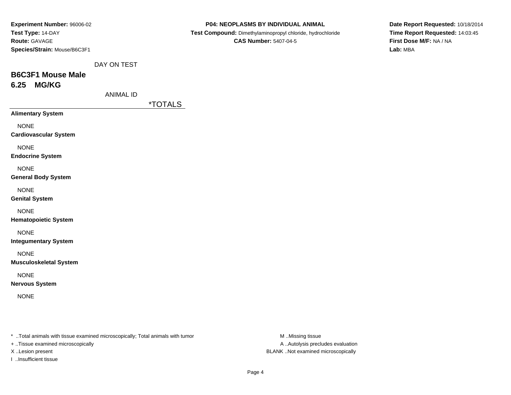| <b>Experiment Number: 96006-02</b> |  |
|------------------------------------|--|
| Test Type: 14-DAY                  |  |
| <b>Route: GAVAGE</b>               |  |
| Species/Strain: Mouse/B6C3F1       |  |
|                                    |  |

 **Test Compound:** Dimethylaminopropyl chloride, hydrochloride**CAS Number:** 5407-04-5

**Date Report Requested:** 10/18/2014**Time Report Requested:** 14:03:45**First Dose M/F:** NA / NA**Lab:** MBA

DAY ON TEST

# **B6C3F1 Mouse Male6.25 MG/KG**

ANIMAL ID

\*TOTALS

**Alimentary System**

NONE

**Cardiovascular System**

NONE

**Endocrine System**

NONE

**General Body System**

NONE

**Genital System**

NONE

**Hematopoietic System**

NONE

**Integumentary System**

NONE

**Musculoskeletal System**

NONE

**Nervous System**

NONE

\* ..Total animals with tissue examined microscopically; Total animals with tumor **M** ..Missing tissue M ..Missing tissue

+ ..Tissue examined microscopically

I ..Insufficient tissue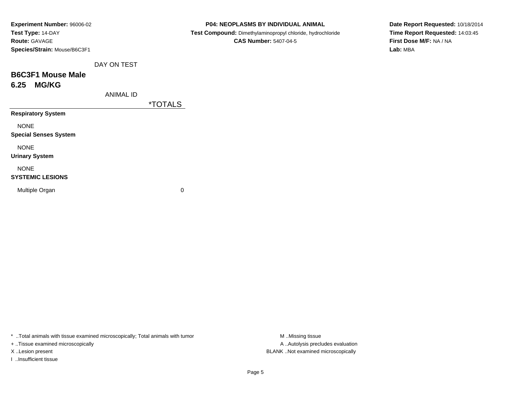| Experiment Number: 96006-02  |
|------------------------------|
| Test Type: 14-DAY            |
| <b>Route:</b> GAVAGE         |
| Species/Strain: Mouse/B6C3F1 |
|                              |

 **Test Compound:** Dimethylaminopropyl chloride, hydrochloride**CAS Number:** 5407-04-5

**Date Report Requested:** 10/18/2014**Time Report Requested:** 14:03:45**First Dose M/F:** NA / NA**Lab:** MBA

DAY ON TEST

## **B6C3F1 Mouse Male6.25 MG/KG**

ANIMAL ID

\*TOTALS

**Respiratory System**

NONE

**Special Senses System**

NONE

**Urinary System**

### NONE

### **SYSTEMIC LESIONS**

Multiple Organ

 $\mathbf n$  0

\* ..Total animals with tissue examined microscopically; Total animals with tumor **M** ...Missing tissue M ...Missing tissue

+ ..Tissue examined microscopically

I ..Insufficient tissue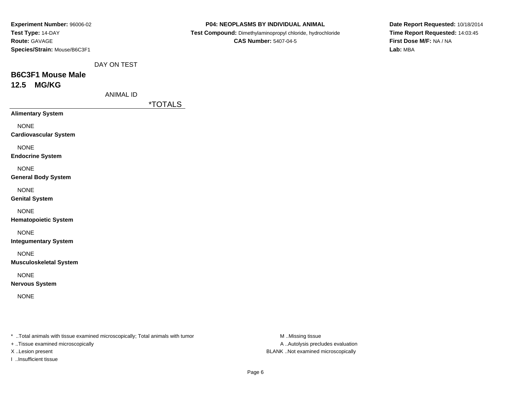| <b>Experiment Number: 96006-02</b> |  |
|------------------------------------|--|
| Test Type: 14-DAY                  |  |
| <b>Route: GAVAGE</b>               |  |
| Species/Strain: Mouse/B6C3F1       |  |

|  |  |  |  | <b>P04: NEOPLASMS BY INDIVIDUAL ANIMAL</b> |  |
|--|--|--|--|--------------------------------------------|--|
|--|--|--|--|--------------------------------------------|--|

 **Test Compound:** Dimethylaminopropyl chloride, hydrochloride**CAS Number:** 5407-04-5

**Date Report Requested:** 10/18/2014**Time Report Requested:** 14:03:45**First Dose M/F:** NA / NA**Lab:** MBA

DAY ON TEST

## **B6C3F1 Mouse Male12.5 MG/KG**

ANIMAL ID

\*TOTALS

**Alimentary System**

NONE

**Cardiovascular System**

NONE

**Endocrine System**

NONE

**General Body System**

NONE

**Genital System**

NONE

**Hematopoietic System**

NONE

**Integumentary System**

NONE

**Musculoskeletal System**

NONE

**Nervous System**

NONE

\* ..Total animals with tissue examined microscopically; Total animals with tumor **M** ...Missing tissue M ...Missing tissue

+ ..Tissue examined microscopically

I ..Insufficient tissue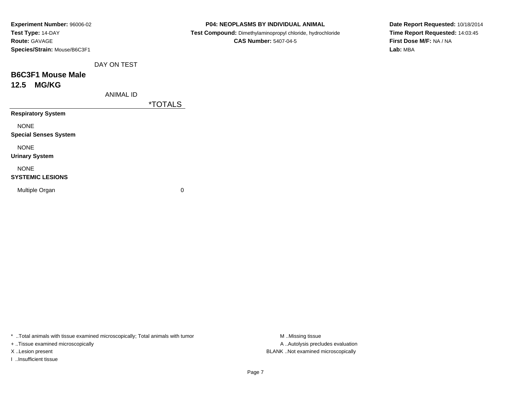| Experiment Number: 96006-02  |
|------------------------------|
| Test Type: 14-DAY            |
| <b>Route:</b> GAVAGE         |
| Species/Strain: Mouse/B6C3F1 |

 **Test Compound:** Dimethylaminopropyl chloride, hydrochloride**CAS Number:** 5407-04-5

**Date Report Requested:** 10/18/2014**Time Report Requested:** 14:03:45**First Dose M/F:** NA / NA**Lab:** MBA

DAY ON TEST

## **B6C3F1 Mouse Male12.5 MG/KG**

ANIMAL ID

\*TOTALS

**Respiratory System**

NONE

**Special Senses System**

NONE

**Urinary System**

### NONE

### **SYSTEMIC LESIONS**

Multiple Organ

 $\mathbf n$  0

\* ..Total animals with tissue examined microscopically; Total animals with tumor **M** . Missing tissue M ..Missing tissue

+ ..Tissue examined microscopically

I ..Insufficient tissue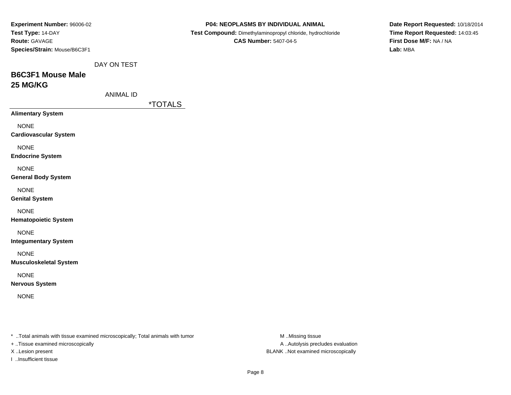| Experiment Number: 96006-02                                                    |                  |                       | P04: NEOPLASMS BY INDIVIDUAL ANIMAL                        | Date Report Requested: 10/18/2014 |
|--------------------------------------------------------------------------------|------------------|-----------------------|------------------------------------------------------------|-----------------------------------|
| Test Type: 14-DAY                                                              |                  |                       | Test Compound: Dimethylaminopropyl chloride, hydrochloride | Time Report Requested: 14:03:45   |
| Route: GAVAGE                                                                  |                  |                       | <b>CAS Number: 5407-04-5</b>                               | First Dose M/F: NA / NA           |
| Species/Strain: Mouse/B6C3F1                                                   |                  |                       |                                                            | Lab: MBA                          |
|                                                                                | DAY ON TEST      |                       |                                                            |                                   |
| <b>B6C3F1 Mouse Male</b>                                                       |                  |                       |                                                            |                                   |
| 25 MG/KG                                                                       |                  |                       |                                                            |                                   |
|                                                                                | <b>ANIMAL ID</b> |                       |                                                            |                                   |
|                                                                                |                  | <i><b>*TOTALS</b></i> |                                                            |                                   |
| <b>Alimentary System</b>                                                       |                  |                       |                                                            |                                   |
| <b>NONE</b>                                                                    |                  |                       |                                                            |                                   |
| <b>Cardiovascular System</b>                                                   |                  |                       |                                                            |                                   |
|                                                                                |                  |                       |                                                            |                                   |
| <b>NONE</b><br><b>Endocrine System</b>                                         |                  |                       |                                                            |                                   |
|                                                                                |                  |                       |                                                            |                                   |
| <b>NONE</b>                                                                    |                  |                       |                                                            |                                   |
| <b>General Body System</b>                                                     |                  |                       |                                                            |                                   |
| <b>NONE</b>                                                                    |                  |                       |                                                            |                                   |
| <b>Genital System</b>                                                          |                  |                       |                                                            |                                   |
| <b>NONE</b>                                                                    |                  |                       |                                                            |                                   |
| <b>Hematopoietic System</b>                                                    |                  |                       |                                                            |                                   |
| <b>NONE</b>                                                                    |                  |                       |                                                            |                                   |
| <b>Integumentary System</b>                                                    |                  |                       |                                                            |                                   |
| <b>NONE</b>                                                                    |                  |                       |                                                            |                                   |
| <b>Musculoskeletal System</b>                                                  |                  |                       |                                                            |                                   |
| <b>NONE</b>                                                                    |                  |                       |                                                            |                                   |
| <b>Nervous System</b>                                                          |                  |                       |                                                            |                                   |
|                                                                                |                  |                       |                                                            |                                   |
| <b>NONE</b>                                                                    |                  |                       |                                                            |                                   |
|                                                                                |                  |                       |                                                            |                                   |
|                                                                                |                  |                       |                                                            |                                   |
| * Total animals with tissue examined microscopically; Total animals with tumor |                  |                       | M Missing tissue                                           |                                   |
| + Tissue examined microscopically                                              |                  |                       | A Autolysis precludes evaluation                           |                                   |

X ..Lesion present BLANK ..Not examined microscopically

I ..Insufficient tissue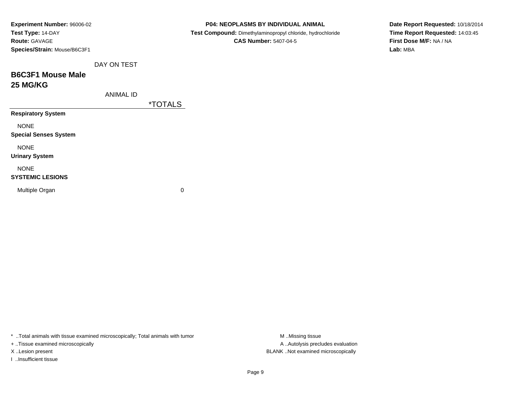| Test Compound: Dimethylaminopropyl chloride, hydrochloride | Time Report Requested: 14:03:45 |
|------------------------------------------------------------|---------------------------------|
| First Dose M/F: NA / NA<br><b>CAS Number: 5407-04-5</b>    |                                 |
| Lab: MBA                                                   |                                 |
|                                                            |                                 |
|                                                            |                                 |
|                                                            |                                 |
|                                                            |                                 |
|                                                            |                                 |
|                                                            |                                 |
|                                                            |                                 |
|                                                            |                                 |
|                                                            |                                 |
|                                                            |                                 |
|                                                            |                                 |
|                                                            |                                 |
|                                                            |                                 |
|                                                            |                                 |
|                                                            |                                 |

+ ..Tissue examined microscopically

I ..Insufficient tissue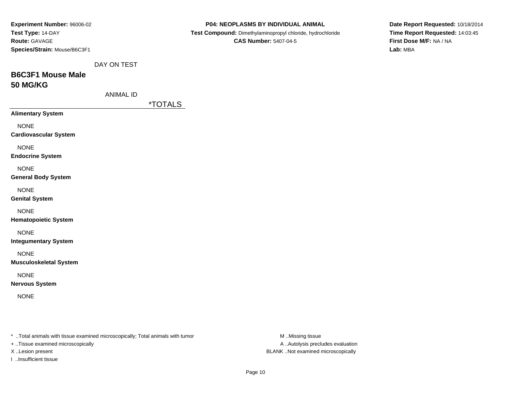| Experiment Number: 96006-02<br>Test Type: 14-DAY<br>Route: GAVAGE              |                  |                       | P04: NEOPLASMS BY INDIVIDUAL ANIMAL<br>Test Compound: Dimethylaminopropyl chloride, hydrochloride<br><b>CAS Number: 5407-04-5</b> |                                   | Date Report Requested: 10/18/2014<br>Time Report Requested: 14:03:45<br>First Dose M/F: NA / NA |
|--------------------------------------------------------------------------------|------------------|-----------------------|-----------------------------------------------------------------------------------------------------------------------------------|-----------------------------------|-------------------------------------------------------------------------------------------------|
| Species/Strain: Mouse/B6C3F1                                                   |                  |                       |                                                                                                                                   |                                   | Lab: MBA                                                                                        |
|                                                                                | DAY ON TEST      |                       |                                                                                                                                   |                                   |                                                                                                 |
| <b>B6C3F1 Mouse Male</b>                                                       |                  |                       |                                                                                                                                   |                                   |                                                                                                 |
| <b>50 MG/KG</b>                                                                |                  |                       |                                                                                                                                   |                                   |                                                                                                 |
|                                                                                | <b>ANIMAL ID</b> |                       |                                                                                                                                   |                                   |                                                                                                 |
| <b>Alimentary System</b>                                                       |                  | <i><b>*TOTALS</b></i> |                                                                                                                                   |                                   |                                                                                                 |
|                                                                                |                  |                       |                                                                                                                                   |                                   |                                                                                                 |
| <b>NONE</b><br><b>Cardiovascular System</b>                                    |                  |                       |                                                                                                                                   |                                   |                                                                                                 |
| <b>NONE</b>                                                                    |                  |                       |                                                                                                                                   |                                   |                                                                                                 |
| <b>Endocrine System</b>                                                        |                  |                       |                                                                                                                                   |                                   |                                                                                                 |
| <b>NONE</b>                                                                    |                  |                       |                                                                                                                                   |                                   |                                                                                                 |
| <b>General Body System</b>                                                     |                  |                       |                                                                                                                                   |                                   |                                                                                                 |
| <b>NONE</b>                                                                    |                  |                       |                                                                                                                                   |                                   |                                                                                                 |
| <b>Genital System</b>                                                          |                  |                       |                                                                                                                                   |                                   |                                                                                                 |
| <b>NONE</b><br><b>Hematopoietic System</b>                                     |                  |                       |                                                                                                                                   |                                   |                                                                                                 |
| <b>NONE</b>                                                                    |                  |                       |                                                                                                                                   |                                   |                                                                                                 |
| <b>Integumentary System</b>                                                    |                  |                       |                                                                                                                                   |                                   |                                                                                                 |
| <b>NONE</b>                                                                    |                  |                       |                                                                                                                                   |                                   |                                                                                                 |
| <b>Musculoskeletal System</b>                                                  |                  |                       |                                                                                                                                   |                                   |                                                                                                 |
| <b>NONE</b>                                                                    |                  |                       |                                                                                                                                   |                                   |                                                                                                 |
| <b>Nervous System</b>                                                          |                  |                       |                                                                                                                                   |                                   |                                                                                                 |
| <b>NONE</b>                                                                    |                  |                       |                                                                                                                                   |                                   |                                                                                                 |
|                                                                                |                  |                       |                                                                                                                                   |                                   |                                                                                                 |
|                                                                                |                  |                       |                                                                                                                                   |                                   |                                                                                                 |
| * Total animals with tissue examined microscopically; Total animals with tumor |                  |                       |                                                                                                                                   | M Missing tissue                  |                                                                                                 |
| + Tissue examined microscopically                                              |                  |                       |                                                                                                                                   | A  Autolysis precludes evaluation |                                                                                                 |

X ..Lesion present BLANK ..Not examined microscopically

I ..Insufficient tissue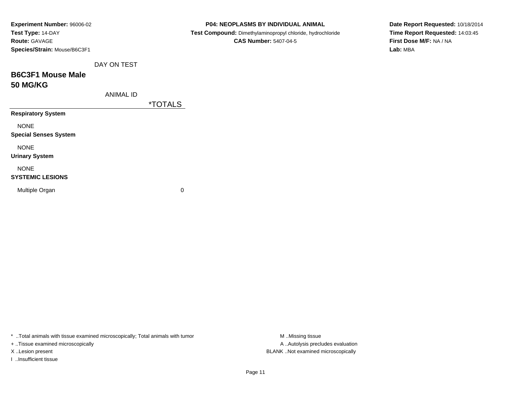| Experiment Number: 96006-02  |                       | P04: NEOPLASMS BY INDIVIDUAL ANIMAL                        | Date Report Requested: 10/18/2014 |
|------------------------------|-----------------------|------------------------------------------------------------|-----------------------------------|
| Test Type: 14-DAY            |                       | Test Compound: Dimethylaminopropyl chloride, hydrochloride | Time Report Requested: 14:03:45   |
| Route: GAVAGE                |                       | <b>CAS Number: 5407-04-5</b>                               | First Dose M/F: NA / NA           |
| Species/Strain: Mouse/B6C3F1 |                       |                                                            | Lab: MBA                          |
| DAY ON TEST                  |                       |                                                            |                                   |
| <b>B6C3F1 Mouse Male</b>     |                       |                                                            |                                   |
| <b>50 MG/KG</b>              |                       |                                                            |                                   |
| <b>ANIMAL ID</b>             |                       |                                                            |                                   |
|                              | <i><b>*TOTALS</b></i> |                                                            |                                   |
| <b>Respiratory System</b>    |                       |                                                            |                                   |
| <b>NONE</b>                  |                       |                                                            |                                   |
| <b>Special Senses System</b> |                       |                                                            |                                   |
| <b>NONE</b>                  |                       |                                                            |                                   |
| <b>Urinary System</b>        |                       |                                                            |                                   |
| <b>NONE</b>                  |                       |                                                            |                                   |
| <b>SYSTEMIC LESIONS</b>      |                       |                                                            |                                   |
| Multiple Organ               | $\pmb{0}$             |                                                            |                                   |
|                              |                       |                                                            |                                   |

+ ..Tissue examined microscopically

I ..Insufficient tissue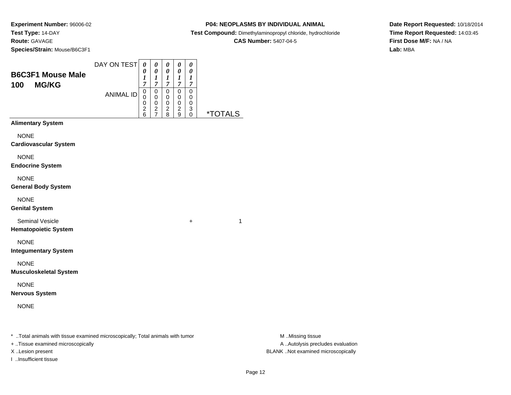**Experiment Number:** 96006-02**Test Type:** 14-DAY**Route:** GAVAGE**Species/Strain:** Mouse/B6C3F1

### **P04: NEOPLASMS BY INDIVIDUAL ANIMAL**

**Test Compound:** Dimethylaminopropyl chloride, hydrochloride

**CAS Number:** 5407-04-5

**Date Report Requested:** 10/18/2014**Time Report Requested:** 14:03:45**First Dose M/F:** NA / NA**Lab:** MBA

| <b>B6C3F1 Mouse Male</b>                              | DAY ON TEST      | $\boldsymbol{\theta}$<br>0<br>1                           | 0<br>$\pmb{\theta}$<br>$\boldsymbol{l}$ | 0<br>$\pmb{\theta}$<br>1                        | 0<br>0<br>1                                       | 0<br>0<br>1                                  |                       |
|-------------------------------------------------------|------------------|-----------------------------------------------------------|-----------------------------------------|-------------------------------------------------|---------------------------------------------------|----------------------------------------------|-----------------------|
| 100<br><b>MG/KG</b>                                   | <b>ANIMAL ID</b> | $\overline{7}$<br>$\mathsf 0$<br>0<br>0<br>$\overline{c}$ | $\overline{7}$<br>$\mathbf 0$<br>0<br>0 | $\overline{7}$<br>0<br>0<br>0<br>$\overline{c}$ | $\overline{7}$<br>$\mathbf 0$<br>0<br>$\mathbf 0$ | $\overline{7}$<br>$\mathbf 0$<br>0<br>0<br>3 |                       |
| <b>Alimentary System</b>                              |                  | 6                                                         | $\frac{2}{7}$                           | 8                                               | $\overline{c}$<br>9                               | 0                                            | <i><b>*TOTALS</b></i> |
| <b>NONE</b><br><b>Cardiovascular System</b>           |                  |                                                           |                                         |                                                 |                                                   |                                              |                       |
| <b>NONE</b><br><b>Endocrine System</b>                |                  |                                                           |                                         |                                                 |                                                   |                                              |                       |
| <b>NONE</b><br><b>General Body System</b>             |                  |                                                           |                                         |                                                 |                                                   |                                              |                       |
| <b>NONE</b><br><b>Genital System</b>                  |                  |                                                           |                                         |                                                 |                                                   |                                              |                       |
| <b>Seminal Vesicle</b><br><b>Hematopoietic System</b> |                  |                                                           |                                         |                                                 |                                                   | $\ddot{}$                                    | 1                     |
| <b>NONE</b><br><b>Integumentary System</b>            |                  |                                                           |                                         |                                                 |                                                   |                                              |                       |
| <b>NONE</b><br><b>Musculoskeletal System</b>          |                  |                                                           |                                         |                                                 |                                                   |                                              |                       |
| <b>NONE</b><br><b>Nervous System</b>                  |                  |                                                           |                                         |                                                 |                                                   |                                              |                       |
| <b>NONE</b>                                           |                  |                                                           |                                         |                                                 |                                                   |                                              |                       |
|                                                       |                  |                                                           |                                         |                                                 |                                                   |                                              |                       |

\* ..Total animals with tissue examined microscopically; Total animals with tumor **M** . Missing tissue M ..Missing tissue

+ ..Tissue examined microscopically

I ..Insufficient tissue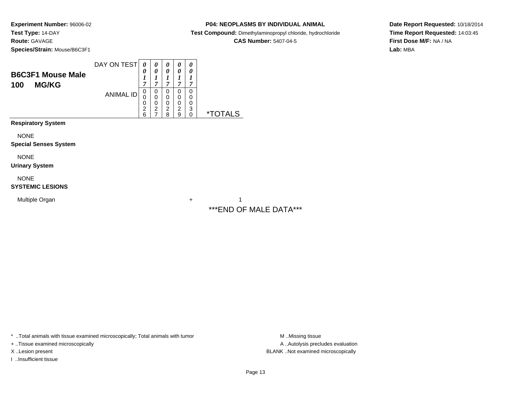**Experiment Number:** 96006-02**Test Type:** 14-DAY**Route:** GAVAGE**Species/Strain:** Mouse/B6C3F1

### **P04: NEOPLASMS BY INDIVIDUAL ANIMAL**

**Test Compound:** Dimethylaminopropyl chloride, hydrochloride

**CAS Number:** 5407-04-5

**Date Report Requested:** 10/18/2014**Time Report Requested:** 14:03:45**First Dose M/F:** NA / NA**Lab:** MBA

| <b>B6C3F1 Mouse Male</b><br>100<br><b>MG/KG</b> | DAY ON TEST      | 0<br>0<br>$\boldsymbol{l}$<br>$\overline{7}$ | 0<br>0<br>1<br>7                                          | 0<br>0<br>1<br>7                   | 0<br>0<br>1<br>7                   | 0<br>0<br>1<br>7      |                       |
|-------------------------------------------------|------------------|----------------------------------------------|-----------------------------------------------------------|------------------------------------|------------------------------------|-----------------------|-----------------------|
|                                                 | <b>ANIMAL ID</b> | 0<br>0<br>0<br>$\overline{c}$<br>6           | 0<br>$\mathbf 0$<br>0<br>$\overline{c}$<br>$\overline{7}$ | 0<br>0<br>0<br>$\overline{2}$<br>8 | 0<br>0<br>0<br>$\overline{2}$<br>9 | 0<br>0<br>0<br>3<br>0 | <i><b>*TOTALS</b></i> |
| <b>Respiratory System</b>                       |                  |                                              |                                                           |                                    |                                    |                       |                       |
| <b>NONE</b>                                     |                  |                                              |                                                           |                                    |                                    |                       |                       |
| <b>Special Senses System</b>                    |                  |                                              |                                                           |                                    |                                    |                       |                       |
| <b>NONE</b><br><b>Urinary System</b>            |                  |                                              |                                                           |                                    |                                    |                       |                       |
| <b>NONE</b><br><b>SYSTEMIC LESIONS</b>          |                  |                                              |                                                           |                                    |                                    |                       |                       |

Multiple Organn  $+$ 

 $+$  1 \*\*\*END OF MALE DATA\*\*\*

\* ..Total animals with tissue examined microscopically; Total animals with tumor **M** . Missing tissue M ..Missing tissue

+ ..Tissue examined microscopically

I ..Insufficient tissue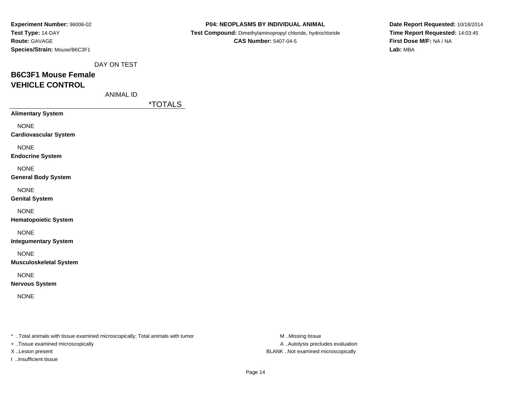| Experiment Number: 96006-02  |
|------------------------------|
| Test Type: 14-DAY            |
| <b>Route: GAVAGE</b>         |
| Species/Strain: Mouse/B6C3F1 |

 **Test Compound:** Dimethylaminopropyl chloride, hydrochloride**CAS Number:** 5407-04-5

**Date Report Requested:** 10/18/2014**Time Report Requested:** 14:03:45**First Dose M/F:** NA / NA**Lab:** MBA

DAY ON TEST

# **B6C3F1 Mouse FemaleVEHICLE CONTROL**

ANIMAL ID

\*TOTALS

**Alimentary System**

NONE

**Cardiovascular System**

NONE

**Endocrine System**

NONE

**General Body System**

NONE

**Genital System**

NONE

**Hematopoietic System**

NONE

**Integumentary System**

NONE

**Musculoskeletal System**

NONE

**Nervous System**

NONE

\* ..Total animals with tissue examined microscopically; Total animals with tumor **M** ..Missing tissue M ..Missing tissue

+ ..Tissue examined microscopically

I ..Insufficient tissue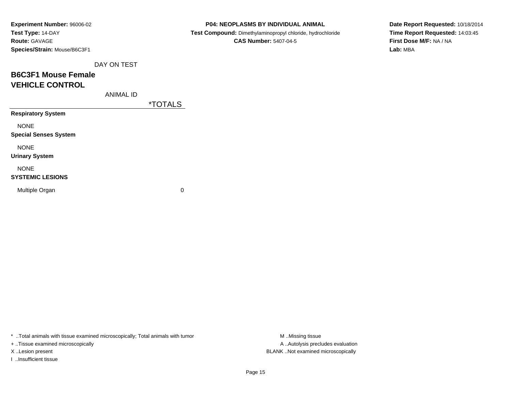| Experiment Number: 96006-02  |
|------------------------------|
| Test Type: 14-DAY            |
| <b>Route: GAVAGE</b>         |
| Species/Strain: Mouse/B6C3F1 |

 **Test Compound:** Dimethylaminopropyl chloride, hydrochloride**CAS Number:** 5407-04-5

**Date Report Requested:** 10/18/2014**Time Report Requested:** 14:03:45**First Dose M/F:** NA / NA**Lab:** MBA

DAY ON TEST

# **B6C3F1 Mouse FemaleVEHICLE CONTROL**

ANIMAL ID

\*TOTALS

**Respiratory System**

NONE

**Special Senses System**

NONE

**Urinary System**

NONE

#### **SYSTEMIC LESIONS**

Multiple Organ

 $\mathbf n$  0

\* ..Total animals with tissue examined microscopically; Total animals with tumor **M** ...Missing tissue M ...Missing tissue

+ ..Tissue examined microscopically

I ..Insufficient tissue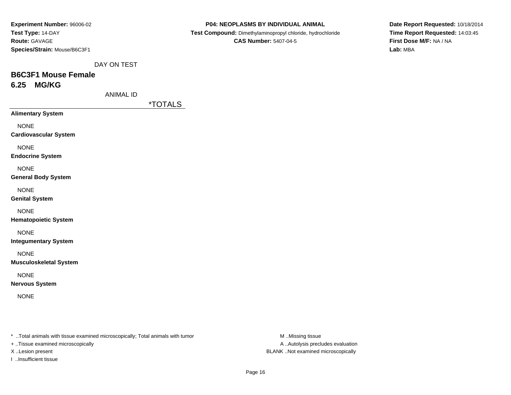| Experiment Number: 96006-02  |
|------------------------------|
| Test Type: 14-DAY            |
| <b>Route: GAVAGE</b>         |
| Species/Strain: Mouse/B6C3F1 |

 **Test Compound:** Dimethylaminopropyl chloride, hydrochloride**CAS Number:** 5407-04-5

**Date Report Requested:** 10/18/2014**Time Report Requested:** 14:03:45**First Dose M/F:** NA / NA**Lab:** MBA

DAY ON TEST

## **B6C3F1 Mouse Female6.25 MG/KG**

ANIMAL ID

\*TOTALS

**Alimentary System**

NONE

**Cardiovascular System**

NONE

**Endocrine System**

NONE

**General Body System**

NONE

**Genital System**

NONE

**Hematopoietic System**

NONE

**Integumentary System**

NONE

**Musculoskeletal System**

NONE

**Nervous System**

NONE

\* ..Total animals with tissue examined microscopically; Total animals with tumor **M** ..Missing tissue M ..Missing tissue

+ ..Tissue examined microscopically

I ..Insufficient tissue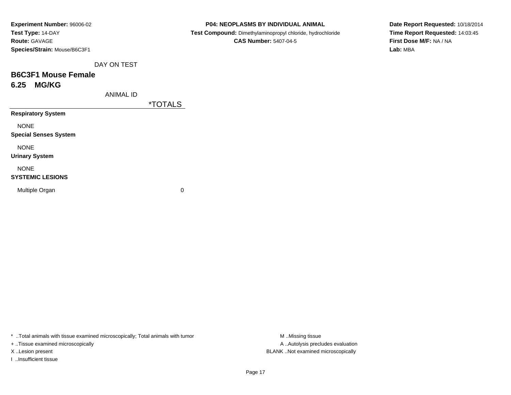| Experiment Number: 96006-02  |
|------------------------------|
| Test Type: 14-DAY            |
| <b>Route: GAVAGE</b>         |
| Species/Strain: Mouse/B6C3F1 |

 **Test Compound:** Dimethylaminopropyl chloride, hydrochloride**CAS Number:** 5407-04-5

**Date Report Requested:** 10/18/2014**Time Report Requested:** 14:03:45**First Dose M/F:** NA / NA**Lab:** MBA

DAY ON TEST

### **B6C3F1 Mouse Female6.25 MG/KG**

ANIMAL ID

\*TOTALS

**Respiratory System**

NONE

**Special Senses System**

NONE

**Urinary System**

NONE

### **SYSTEMIC LESIONS**

Multiple Organ

 $\mathbf n$  0

\* ..Total animals with tissue examined microscopically; Total animals with tumor **M** ...Missing tissue M ...Missing tissue

+ ..Tissue examined microscopically

I ..Insufficient tissue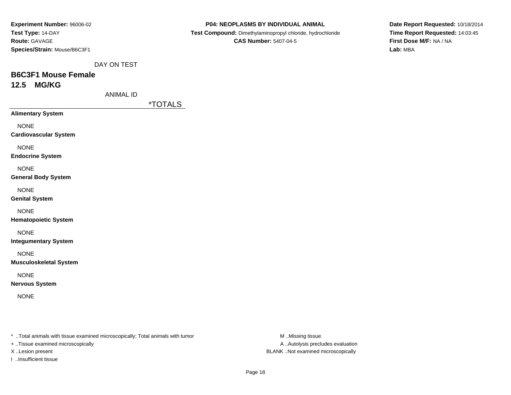| Experiment Number: 96006-02  |
|------------------------------|
| Test Type: 14-DAY            |
| <b>Route: GAVAGE</b>         |
| Species/Strain: Mouse/B6C3F1 |

 **Test Compound:** Dimethylaminopropyl chloride, hydrochloride**CAS Number:** 5407-04-5

**Date Report Requested:** 10/18/2014**Time Report Requested:** 14:03:45**First Dose M/F:** NA / NA**Lab:** MBA

DAY ON TEST

### **B6C3F1 Mouse Female12.5 MG/KG**

ANIMAL ID

\*TOTALS

**Alimentary System**

NONE

**Cardiovascular System**

NONE

**Endocrine System**

NONE

**General Body System**

NONE

**Genital System**

NONE

**Hematopoietic System**

NONE

**Integumentary System**

NONE

**Musculoskeletal System**

NONE

**Nervous System**

NONE

\* ..Total animals with tissue examined microscopically; Total animals with tumor **M** ..Missing tissue M ..Missing tissue

+ ..Tissue examined microscopically

I ..Insufficient tissue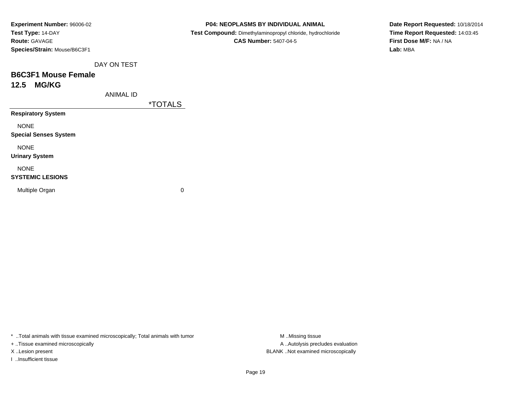| Experiment Number: 96006-02  |
|------------------------------|
| Test Type: 14-DAY            |
| <b>Route: GAVAGE</b>         |
| Species/Strain: Mouse/B6C3F1 |

 **Test Compound:** Dimethylaminopropyl chloride, hydrochloride**CAS Number:** 5407-04-5

**Date Report Requested:** 10/18/2014**Time Report Requested:** 14:03:45**First Dose M/F:** NA / NA**Lab:** MBA

DAY ON TEST

### **B6C3F1 Mouse Female12.5 MG/KG**

ANIMAL ID

\*TOTALS

**Respiratory System**

NONE

**Special Senses System**

NONE

**Urinary System**

NONE

### **SYSTEMIC LESIONS**

Multiple Organ

 $\mathbf n$  0

\* ..Total animals with tissue examined microscopically; Total animals with tumor **M** ...Missing tissue M ...Missing tissue

+ ..Tissue examined microscopically

I ..Insufficient tissue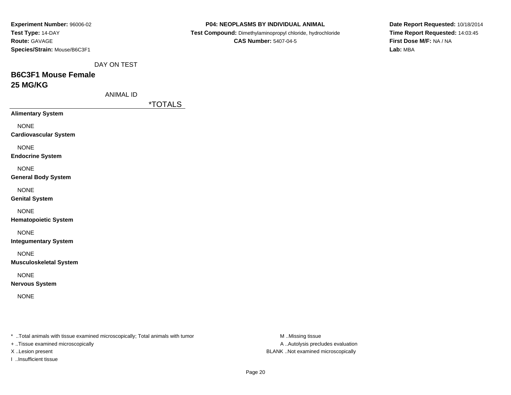| Experiment Number: 96006-02<br>Test Type: 14-DAY<br><b>Route: GAVAGE</b><br>Species/Strain: Mouse/B6C3F1 |                  |  |
|----------------------------------------------------------------------------------------------------------|------------------|--|
|                                                                                                          | DAY ON TEST      |  |
| <b>B6C3F1 Mouse Female</b>                                                                               |                  |  |
| 25 MG/KG                                                                                                 |                  |  |
|                                                                                                          | <b>ANIMAL ID</b> |  |
|                                                                                                          |                  |  |
| <b>Alimentary System</b>                                                                                 |                  |  |
| <b>NONE</b><br><b>Cardiovascular System</b>                                                              |                  |  |
| <b>NONE</b><br><b>Endocrine System</b>                                                                   |                  |  |
| <b>NONE</b><br><b>General Body System</b>                                                                |                  |  |
| <b>NONE</b><br><b>Genital System</b>                                                                     |                  |  |
| <b>NONE</b>                                                                                              |                  |  |

**Hematopoietic System**

NONE

**Integumentary System**

NONE

**Musculoskeletal System**

NONE

**Nervous System**

NONE

\* ..Total animals with tissue examined microscopically; Total animals with tumor **M** . Missing tissue M ..Missing tissue

+ ..Tissue examined microscopically

I ..Insufficient tissue

**P04: NEOPLASMS BY INDIVIDUAL ANIMAL**

 **Test Compound:** Dimethylaminopropyl chloride, hydrochloride**CAS Number:** 5407-04-5

**Date Report Requested:** 10/18/2014**Time Report Requested:** 14:03:45**First Dose M/F:** NA / NA**Lab:** MBA

<u>LS</u>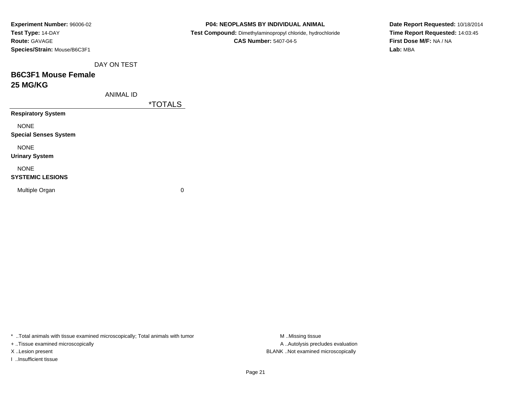| Experiment Number: 96006-02  |
|------------------------------|
| Test Type: 14-DAY            |
| <b>Route:</b> GAVAGE         |
| Species/Strain: Mouse/B6C3F1 |
|                              |

 **Test Compound:** Dimethylaminopropyl chloride, hydrochloride**CAS Number:** 5407-04-5

**Date Report Requested:** 10/18/2014**Time Report Requested:** 14:03:45**First Dose M/F:** NA / NA**Lab:** MBA

DAY ON TEST

# **B6C3F1 Mouse Female25 MG/KG**

ANIMAL ID

\*TOTALS

**Respiratory System**

NONE

**Special Senses System**

NONE

**Urinary System**

NONE

### **SYSTEMIC LESIONS**

Multiple Organ

 $\mathbf n$  0

\* ..Total animals with tissue examined microscopically; Total animals with tumor

+ ..Tissue examined microscopically

I ..Insufficient tissue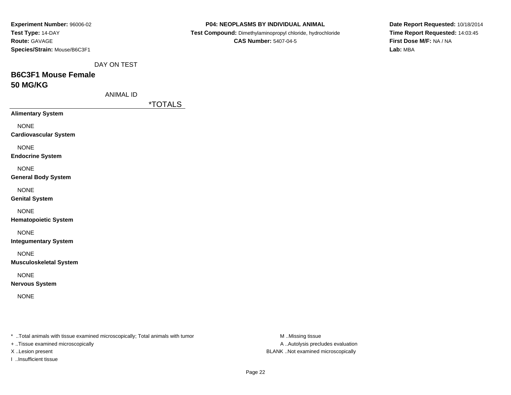| Experiment Number: 96006-02                                                                                         |                  |                       | P04: NEOPLASMS BY INDIVIDUAL ANIMAL                        |
|---------------------------------------------------------------------------------------------------------------------|------------------|-----------------------|------------------------------------------------------------|
| Test Type: 14-DAY                                                                                                   |                  |                       | Test Compound: Dimethylaminopropyl chloride, hydrochloride |
| Route: GAVAGE                                                                                                       |                  |                       | <b>CAS Number: 5407-04-5</b>                               |
| Species/Strain: Mouse/B6C3F1                                                                                        |                  |                       |                                                            |
|                                                                                                                     | DAY ON TEST      |                       |                                                            |
| <b>B6C3F1 Mouse Female</b>                                                                                          |                  |                       |                                                            |
| <b>50 MG/KG</b>                                                                                                     |                  |                       |                                                            |
|                                                                                                                     | <b>ANIMAL ID</b> |                       |                                                            |
|                                                                                                                     |                  | <i><b>*TOTALS</b></i> |                                                            |
| <b>Alimentary System</b>                                                                                            |                  |                       |                                                            |
| <b>NONE</b>                                                                                                         |                  |                       |                                                            |
| <b>Cardiovascular System</b>                                                                                        |                  |                       |                                                            |
| <b>NONE</b>                                                                                                         |                  |                       |                                                            |
| <b>Endocrine System</b>                                                                                             |                  |                       |                                                            |
| <b>NONE</b>                                                                                                         |                  |                       |                                                            |
| <b>General Body System</b>                                                                                          |                  |                       |                                                            |
| <b>NONE</b>                                                                                                         |                  |                       |                                                            |
| <b>Genital System</b>                                                                                               |                  |                       |                                                            |
|                                                                                                                     |                  |                       |                                                            |
| <b>NONE</b><br><b>Hematopoietic System</b>                                                                          |                  |                       |                                                            |
|                                                                                                                     |                  |                       |                                                            |
| <b>NONE</b>                                                                                                         |                  |                       |                                                            |
| <b>Integumentary System</b>                                                                                         |                  |                       |                                                            |
| <b>NONE</b>                                                                                                         |                  |                       |                                                            |
| <b>Musculoskeletal System</b>                                                                                       |                  |                       |                                                            |
| <b>NONE</b>                                                                                                         |                  |                       |                                                            |
| <b>Nervous System</b>                                                                                               |                  |                       |                                                            |
| <b>NONE</b>                                                                                                         |                  |                       |                                                            |
|                                                                                                                     |                  |                       |                                                            |
|                                                                                                                     |                  |                       |                                                            |
| * Total animals with tissue examined microscopically; Total animals with tumor<br>+ Tissue examined microscopically |                  |                       | M.Missing tissue<br>A  Autolysis precludes evaluation      |
|                                                                                                                     |                  |                       |                                                            |

I ..Insufficient tissue

X ..Lesion present BLANK ..Not examined microscopically

**Date Report Requested:** 10/18/2014**Time Report Requested:** 14:03:45**First Dose M/F:** NA / NA**Lab:** MBA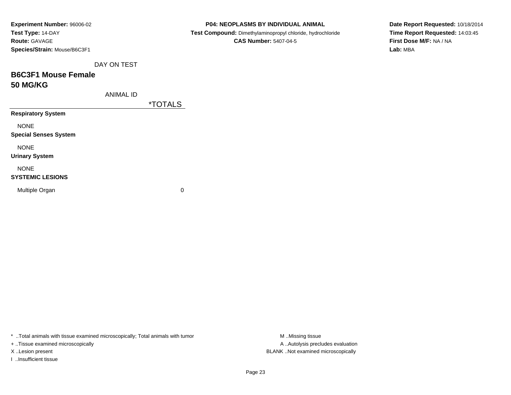| Experiment Number: 96006-02  |  |
|------------------------------|--|
| Test Type: 14-DAY            |  |
| <b>Route: GAVAGE</b>         |  |
| Species/Strain: Mouse/B6C3F1 |  |
| DAY ON TEST                  |  |
| <b>B6C3F1 Mouse Female</b>   |  |
| <b>50 MG/KG</b>              |  |
| ANIMAL ID                    |  |
|                              |  |
| <b>Respiratory System</b>    |  |
| NONE                         |  |

 **Test Compound:** Dimethylaminopropyl chloride, hydrochloride**CAS Number:** 5407-04-5

**Date Report Requested:** 10/18/2014**Time Report Requested:** 14:03:45**First Dose M/F:** NA / NA**Lab:** MBA

<u>ALS</u>

NONE

**Special Senses System**

NONE

**Urinary System**

### NONE

### **SYSTEMIC LESIONS**

Multiple Organ

 $\mathbf n$  0

\* ..Total animals with tissue examined microscopically; Total animals with tumor **M** . Missing tissue M ..Missing tissue

+ ..Tissue examined microscopically

I ..Insufficient tissue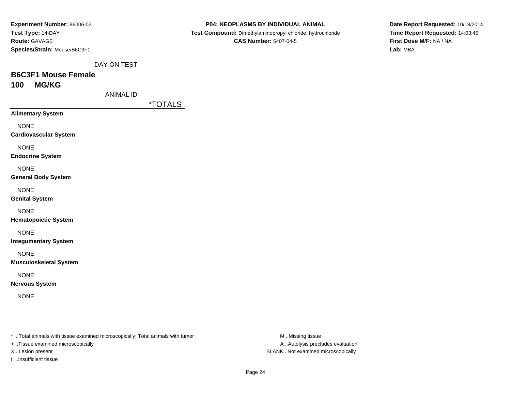| <b>Experiment Number: 96006-02</b> |
|------------------------------------|
| Test Type: 14-DAY                  |
| <b>Route: GAVAGE</b>               |
| Species/Strain: Mouse/B6C3F1       |

 **Test Compound:** Dimethylaminopropyl chloride, hydrochloride**CAS Number:** 5407-04-5

**Date Report Requested:** 10/18/2014**Time Report Requested:** 14:03:45**First Dose M/F:** NA / NA**Lab:** MBA

DAY ON TEST

### **B6C3F1 Mouse Female100 MG/KG**

ANIMAL ID

\*TOTALS

**Alimentary System**

NONE

**Cardiovascular System**

NONE

**Endocrine System**

NONE

**General Body System**

NONE

**Genital System**

NONE

**Hematopoietic System**

NONE

**Integumentary System**

NONE

**Musculoskeletal System**

NONE

**Nervous System**

NONE

\* ..Total animals with tissue examined microscopically; Total animals with tumor **M** ..Missing tissue M ..Missing tissue

+ ..Tissue examined microscopically

I ..Insufficient tissue